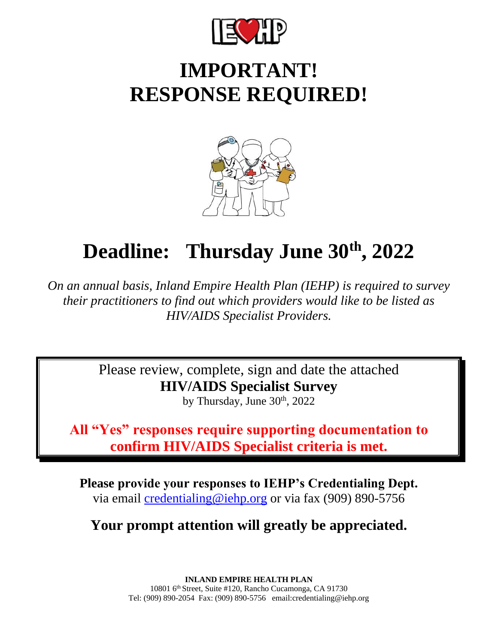

## **IMPORTANT! RESPONSE REQUIRED!**



## **Deadline: Thursday June 30th , 2022**

*On an annual basis, Inland Empire Health Plan (IEHP) is required to survey their practitioners to find out which providers would like to be listed as HIV/AIDS Specialist Providers.*

> Please review, complete, sign and date the attached **HIV/AIDS Specialist Survey**

by Thursday, June 30<sup>th</sup>, 2022

**All "Yes" responses require supporting documentation to confirm HIV/AIDS Specialist criteria is met.**

**Please provide your responses to IEHP's Credentialing Dept.** via email [credentialing@iehp.org](mailto:credentialing@iehp.org) or via fax (909) 890-5756

**Your prompt attention will greatly be appreciated.** 

**INLAND EMPIRE HEALTH PLAN** 10801 6th Street, Suite #120, Rancho Cucamonga, CA 91730 Tel: (909) 890-2054 Fax: (909) 890-5756 email:credentialing@iehp.org